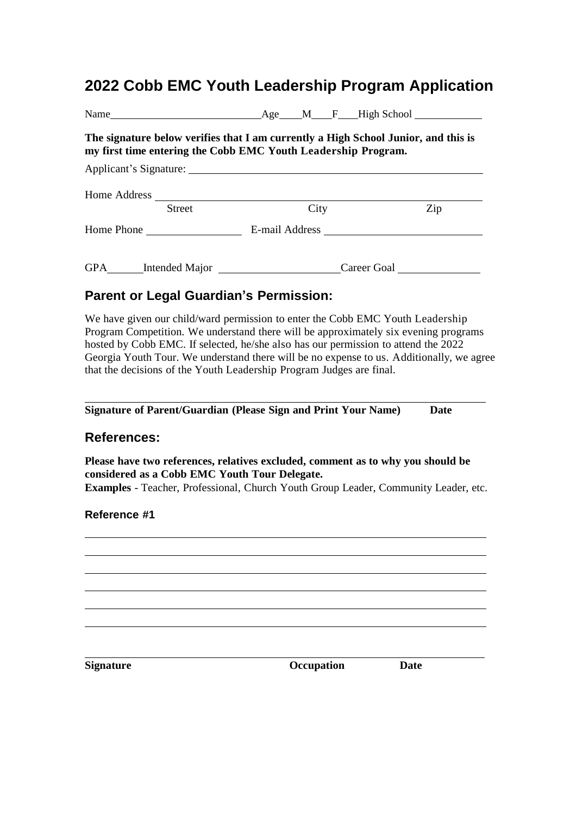## **2022 Cobb EMC Youth Leadership Program Application**

| Name  Mame  Mame  Mame  Mame  Mame  Mame  Mame  Mame  Mame  Mame  Mame  Mame  Mame  Mame  Mame  Mame  Mame  Mame  Mame  Mame  Mame  Mame  Mame  Mame  Mame  Mame  Mame  Mame  Mame  Mame  Mame  Mame  Mame  Mame  Mame  Mame                                                                                                                                                                                           |                                                                                  |             |
|------------------------------------------------------------------------------------------------------------------------------------------------------------------------------------------------------------------------------------------------------------------------------------------------------------------------------------------------------------------------------------------------------------------------|----------------------------------------------------------------------------------|-------------|
| The signature below verifies that I am currently a High School Junior, and this is<br>my first time entering the Cobb EMC Youth Leadership Program.                                                                                                                                                                                                                                                                    |                                                                                  |             |
| Applicant's Signature:                                                                                                                                                                                                                                                                                                                                                                                                 |                                                                                  |             |
|                                                                                                                                                                                                                                                                                                                                                                                                                        |                                                                                  |             |
| <b>Street</b>                                                                                                                                                                                                                                                                                                                                                                                                          | City                                                                             | Zip         |
|                                                                                                                                                                                                                                                                                                                                                                                                                        |                                                                                  |             |
|                                                                                                                                                                                                                                                                                                                                                                                                                        | GPA_______Intended Major ____________________________Career Goal _______________ |             |
| <b>Parent or Legal Guardian's Permission:</b>                                                                                                                                                                                                                                                                                                                                                                          |                                                                                  |             |
| Program Competition. We understand there will be approximately six evening programs<br>hosted by Cobb EMC. If selected, he/she also has our permission to attend the 2022<br>Georgia Youth Tour. We understand there will be no expense to us. Additionally, we agree<br>that the decisions of the Youth Leadership Program Judges are final.<br><b>Signature of Parent/Guardian (Please Sign and Print Your Name)</b> |                                                                                  | <b>Date</b> |
| <b>References:</b>                                                                                                                                                                                                                                                                                                                                                                                                     |                                                                                  |             |
| Please have two references, relatives excluded, comment as to why you should be<br>considered as a Cobb EMC Youth Tour Delegate.<br>Examples - Teacher, Professional, Church Youth Group Leader, Community Leader, etc.                                                                                                                                                                                                |                                                                                  |             |
| Reference #1                                                                                                                                                                                                                                                                                                                                                                                                           |                                                                                  |             |
|                                                                                                                                                                                                                                                                                                                                                                                                                        |                                                                                  |             |
|                                                                                                                                                                                                                                                                                                                                                                                                                        |                                                                                  |             |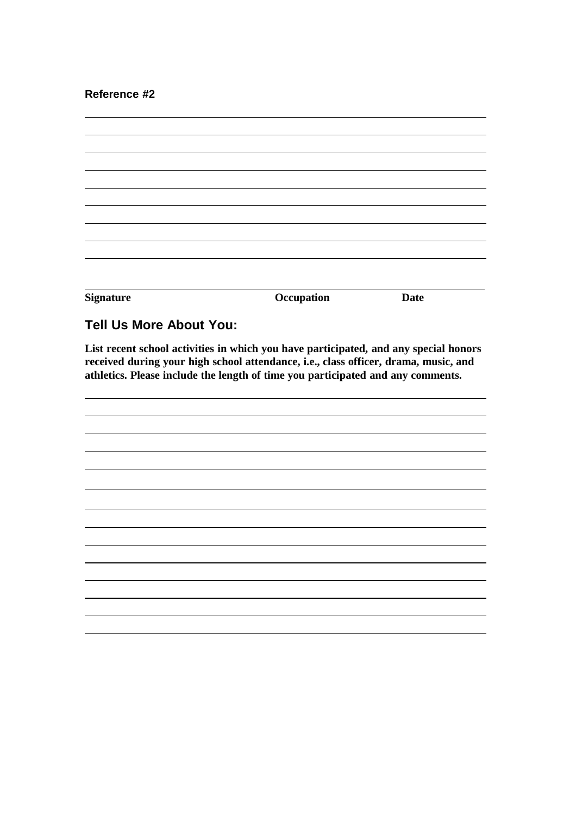**Reference #2**

| <b>Signature</b> | Occupation | <b>Date</b> |
|------------------|------------|-------------|

## **Tell Us More About You:**

**List recent school activities in which you have participated, and any special honors received during your high school attendance, i.e., class officer, drama, music, and athletics. Please include the length of time you participated and any comments.**

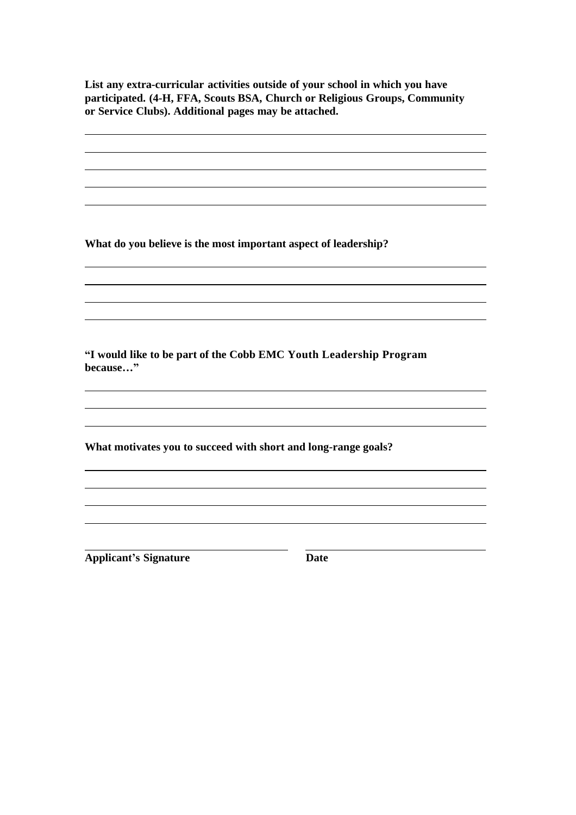**List any extra-curricular activities outside of your school in which you have participated. (4-H, FFA, Scouts BSA, Church or Religious Groups, Community or Service Clubs). Additional pages may be attached.**

**What do you believe is the most important aspect of leadership?**

**"I would like to be part of the Cobb EMC Youth Leadership Program because…"**

**What motivates you to succeed with short and long-range goals?** 

**Applicant's Signature Date**

<u> 1989 - Johann Stoff, amerikansk politiker (d. 1989)</u>